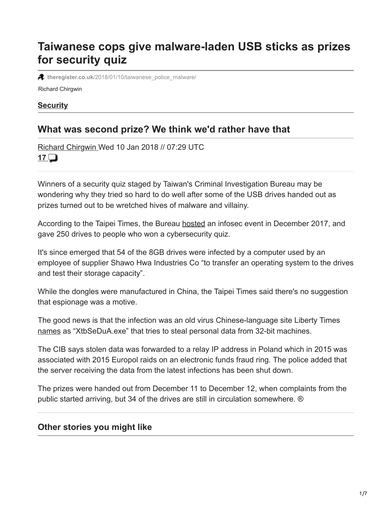# **Taiwanese cops give malware-laden USB sticks as prizes for security quiz**

**4** theregister.co.uk[/2018/01/10/taiwanese\\_police\\_malware/](https://www.theregister.co.uk/2018/01/10/taiwanese_police_malware/)

Richard Chirgwin

#### **[Security](https://www.theregister.co.uk/security/)**

# **What was second prize? We think we'd rather have that**

[Richard Chirgwin W](https://www.theregister.co.uk/Author/Richard-Chirgwin)ed 10 Jan 2018 // 07:29 UTC **[17](https://forums.theregister.com/forum/all/2018/01/10/taiwanese_police_malware/)**

Winners of a security quiz staged by Taiwan's Criminal Investigation Bureau may be wondering why they tried so hard to do well after some of the USB drives handed out as prizes turned out to be wretched hives of malware and villainy.

According to the Taipei Times, the Bureau [hosted](http://www.taipeitimes.com/News/taiwan/archives/2018/01/08/2003685393) an infosec event in December 2017, and gave 250 drives to people who won a cybersecurity quiz.

It's since emerged that 54 of the 8GB drives were infected by a computer used by an employee of supplier Shawo Hwa Industries Co "to transfer an operating system to the drives and test their storage capacity".

While the dongles were manufactured in China, the Taipei Times said there's no suggestion that espionage was a motive.

The good news is that the infection was an old virus Chinese-language site Liberty Times [names](http://news.ltn.com.tw/news/focus/paper/1166581) as "XtbSeDuA.exe" that tries to steal personal data from 32-bit machines.

The CIB says stolen data was forwarded to a relay IP address in Poland which in 2015 was associated with 2015 Europol raids on an electronic funds fraud ring. The police added that the server receiving the data from the latest infections has been shut down.

The prizes were handed out from December 11 to December 12, when complaints from the public started arriving, but 34 of the drives are still in circulation somewhere. ®

#### **Other stories you might like**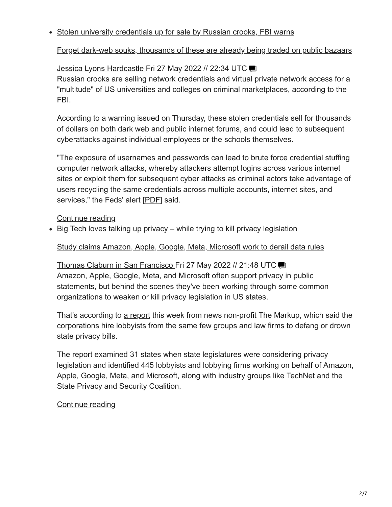#### • Stolen university credentials up for sale by Russian crooks, FBI warns

[Forget dark-web souks, thousands of these are already being traded on public bazaars](https://www.theregister.co.uk/2022/05/27/fbi_warning_stolen_university_credentials/?td=keepreading-top)

## [Jessica Lyons Hardcastle F](https://www.theregister.co.uk/Author/Jessica-Lyons-Hardcastle)ri 27 May 2022 // 22:34 UTC

Russian crooks are selling network credentials and virtual private network access for a "multitude" of US universities and colleges on criminal marketplaces, according to the FBI.

According to a warning issued on Thursday, these stolen credentials sell for thousands of dollars on both dark web and public internet forums, and could lead to subsequent cyberattacks against individual employees or the schools themselves.

"The exposure of usernames and passwords can lead to brute force credential stuffing computer network attacks, whereby attackers attempt logins across various internet sites or exploit them for subsequent cyber attacks as criminal actors take advantage of users recycling the same credentials across multiple accounts, internet sites, and services," the Feds' alert [\[PDF](https://www.ic3.gov/Media/News/2022/220526.pdf)] said.

## [Continue reading](https://www.theregister.co.uk/2022/05/27/fbi_warning_stolen_university_credentials/?td=keepreading-btm)

• Big Tech loves talking up privacy – while trying to kill privacy legislation

#### [Study claims Amazon, Apple, Google, Meta, Microsoft work to derail data rules](https://www.theregister.co.uk/2022/05/27/big_tech_privacy/?td=keepreading-top)

[Thomas Claburn in San Francisco F](https://www.theregister.co.uk/Author/Thomas-Claburn)ri 27 May 2022 // 21:48 UTC Amazon, Apple, Google, Meta, and Microsoft often support privacy in public statements, but behind the scenes they've been working through some common organizations to weaken or kill privacy legislation in US states.

That's according to [a report](https://themarkup.org/privacy/2022/05/26/tech-industry-groups-are-watering-down-attempts-at-privacy-regulation-one-state-at-a-time) this week from news non-profit The Markup, which said the corporations hire lobbyists from the same few groups and law firms to defang or drown state privacy bills.

The report examined 31 states when state legislatures were considering privacy legislation and identified 445 lobbyists and lobbying firms working on behalf of Amazon, Apple, Google, Meta, and Microsoft, along with industry groups like TechNet and the State Privacy and Security Coalition.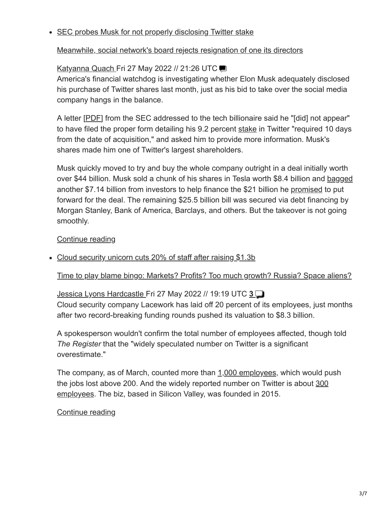#### • SEC probes Musk for not properly disclosing Twitter stake

## [Meanwhile, social network's board rejects resignation of one its directors](https://www.theregister.co.uk/2022/05/27/the_sec_is_probing_elon/?td=keepreading-top)

## [Katyanna Quach F](https://www.theregister.co.uk/Author/Katyanna-Quach)ri27 May 2022 // 21:26 UTC

America's financial watchdog is investigating whether Elon Musk adequately disclosed his purchase of Twitter shares last month, just as his bid to take over the social media company hangs in the balance.

A letter [[PDF\]](https://www.sec.gov/Archives/edgar/data/1418091/000000000022003713/filename1.pdf) from the SEC addressed to the tech billionaire said he "[did] not appear" to have filed the proper form detailing his 9.2 percent [stake](https://www.theregister.com/2022/04/04/elon_musk_twitter/) in Twitter "required 10 days from the date of acquisition," and asked him to provide more information. Musk's shares made him one of Twitter's largest shareholders.

Musk quickly moved to try and buy the whole company outright in a deal initially worth over \$44 billion. Musk sold a chunk of his shares in Tesla worth \$8.4 billion and [bagged](https://www.theregister.com/2022/05/05/musk_twitter_ellison/) another \$7.14 billion from investors to help finance the \$21 billion he [promised](https://www.theregister.com/2022/04/21/musk_twitter_funding/) to put forward for the deal. The remaining \$25.5 billion bill was secured via debt financing by Morgan Stanley, Bank of America, Barclays, and others. But the takeover is not going smoothly.

### [Continue reading](https://www.theregister.co.uk/2022/05/27/the_sec_is_probing_elon/?td=keepreading-btm)

#### • Cloud security unicorn cuts 20% of staff after raising \$1.3b

[Time to play blame bingo: Markets? Profits? Too much growth? Russia? Space aliens?](https://www.theregister.co.uk/2022/05/27/lacework_cuts_jobs/?td=keepreading-top)

## [Jessica Lyons Hardcastle F](https://www.theregister.co.uk/Author/Jessica-Lyons-Hardcastle)ri 27 May 2022 // 19:19 UTC **[3](https://forums.theregister.com/forum/all/2022/05/27/lacework_cuts_jobs/)** Cloud security company Lacework has laid off 20 percent of its employees, just months after two record-breaking funding rounds pushed its valuation to \$8.3 billion.

A spokesperson wouldn't confirm the total number of employees affected, though told *The Register* that the "widely speculated number on Twitter is a significant overestimate."

The company, as of March, counted more than [1,000 employees,](https://venturebeat.com/2022/03/17/cybersecurity-has-53-unicorns-here-are-10-to-watch/) which would push [the jobs lost above 200. And the widely reported number on Twitter is about 300](https://twitter.com/GergelyOrosz/status/1529575067117658112) employees. The biz, based in Silicon Valley, was founded in 2015.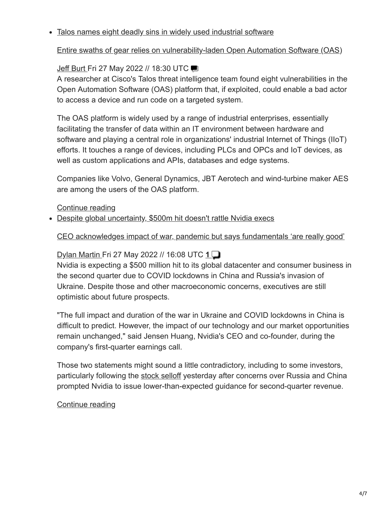#### Talos names eight deadly sins in widely used industrial software

### [Entire swaths of gear relies on vulnerability-laden Open Automation Software \(OAS\)](https://www.theregister.co.uk/2022/05/27/talos-aos-vulnerabilities/?td=keepreading-top)

## [Jeff Burt](https://www.theregister.co.uk/Author/Jeff-Burt) Fri27 May 2022 // 18:30 UTC

A researcher at Cisco's Talos threat intelligence team found eight vulnerabilities in the Open Automation Software (OAS) platform that, if exploited, could enable a bad actor to access a device and run code on a targeted system.

The OAS platform is widely used by a range of industrial enterprises, essentially facilitating the transfer of data within an IT environment between hardware and software and playing a central role in organizations' industrial Internet of Things (IIoT) efforts. It touches a range of devices, including PLCs and OPCs and IoT devices, as well as custom applications and APIs, databases and edge systems.

Companies like Volvo, General Dynamics, JBT Aerotech and wind-turbine maker AES are among the users of the OAS platform.

### [Continue reading](https://www.theregister.co.uk/2022/05/27/talos-aos-vulnerabilities/?td=keepreading-btm)

• Despite global uncertainty, \$500m hit doesn't rattle Nvidia execs

### [CEO acknowledges impact of war, pandemic but says fundamentals 'are really good'](https://www.theregister.co.uk/2022/05/27/nvidia_shrugs_off_global_chaos/?td=keepreading-top)

## [Dylan Martin F](https://www.theregister.co.uk/Author/Dylan-Martin)ri 27 May 2022 // 16:08 UTC **[1](https://forums.theregister.com/forum/all/2022/05/27/nvidia_shrugs_off_global_chaos/)**

Nvidia is expecting a \$500 million hit to its global datacenter and consumer business in the second quarter due to COVID lockdowns in China and Russia's invasion of Ukraine. Despite those and other macroeconomic concerns, executives are still optimistic about future prospects.

"The full impact and duration of the war in Ukraine and COVID lockdowns in China is difficult to predict. However, the impact of our technology and our market opportunities remain unchanged," said Jensen Huang, Nvidia's CEO and co-founder, during the company's first-quarter earnings call.

Those two statements might sound a little contradictory, including to some investors, particularly following the [stock selloff](https://www.theregister.com/2022/05/26/nvidia_q1fy2023_outlook/) yesterday after concerns over Russia and China prompted Nvidia to issue lower-than-expected guidance for second-quarter revenue.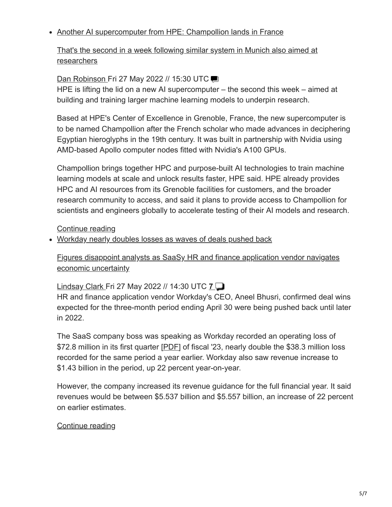#### • Another AI supercomputer from HPE: Champollion lands in France

[That's the second in a week following similar system in Munich also aimed at](https://www.theregister.co.uk/2022/05/27/hpe_champollion_supercomputer/?td=keepreading-top) researchers

### [Dan Robinson F](https://www.theregister.co.uk/Author/Dan-Robinson)ri 27 May 2022 // 15:30 UTC

HPE is lifting the lid on a new AI supercomputer – the second this week – aimed at building and training larger machine learning models to underpin research.

Based at HPE's Center of Excellence in Grenoble, France, the new supercomputer is to be named Champollion after the French scholar who made advances in deciphering Egyptian hieroglyphs in the 19th century. It was built in partnership with Nvidia using AMD-based Apollo computer nodes fitted with Nvidia's A100 GPUs.

Champollion brings together HPC and purpose-built AI technologies to train machine learning models at scale and unlock results faster, HPE said. HPE already provides HPC and AI resources from its Grenoble facilities for customers, and the broader research community to access, and said it plans to provide access to Champollion for scientists and engineers globally to accelerate testing of their AI models and research.

[Continue reading](https://www.theregister.co.uk/2022/05/27/hpe_champollion_supercomputer/?td=keepreading-btm)

Workday nearly doubles losses as waves of deals pushed back

[Figures disappoint analysts as SaaSy HR and finance application vendor navigates](https://www.theregister.co.uk/2022/05/27/workday_near_doubles_losses_as/?td=keepreading-top) economic uncertainty

## [Lindsay Clark](https://www.theregister.co.uk/Author/Lindsay-Clark) Fri 27 May 2022 // 14:30 UTC **[7](https://forums.theregister.com/forum/all/2022/05/27/workday_near_doubles_losses_as/)**

HR and finance application vendor Workday's CEO, Aneel Bhusri, confirmed deal wins expected for the three-month period ending April 30 were being pushed back until later in 2022.

The SaaS company boss was speaking as Workday recorded an operating loss of \$72.8 million in its first quarter [[PDF](https://www.workday.com/content/dam/web/en-us/documents/investor/workday-fiscal-2023-first-quarter-investor-presentation.pdf)] of fiscal '23, nearly double the \$38.3 million loss recorded for the same period a year earlier. Workday also saw revenue increase to \$1.43 billion in the period, up 22 percent year-on-year.

However, the company increased its revenue guidance for the full financial year. It said revenues would be between \$5.537 billion and \$5.557 billion, an increase of 22 percent on earlier estimates.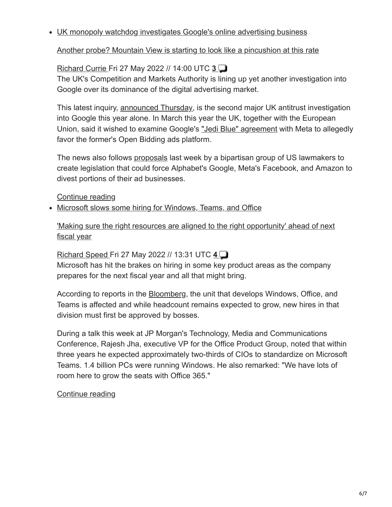UK monopoly watchdog investigates Google's online advertising business

[Another probe? Mountain View is starting to look like a pincushion at this rate](https://www.theregister.co.uk/2022/05/27/cma_google_ad_dominance/?td=keepreading-top)

# [Richard Currie F](https://www.theregister.co.uk/Author/Richard-Currie)ri 27 May 2022 // 14:00 UTC **[3](https://forums.theregister.com/forum/all/2022/05/27/cma_google_ad_dominance/)**

The UK's Competition and Markets Authority is lining up yet another investigation into Google over its dominance of the digital advertising market.

This latest inquiry, [announced Thursday,](https://www.gov.uk/government/news/google-probed-over-potential-abuse-of-dominance-in-ad-tech) is the second major UK antitrust investigation into Google this year alone. In March this year the UK, together with the European Union, said it wished to examine Google's ["Jedi Blue" agreement](https://www.theregister.com/2022/03/11/cma_ec_blue_jedi/) with Meta to allegedly favor the former's Open Bidding ads platform.

The news also follows [proposals](https://www.theregister.com/2022/05/19/senate_ctda_advertising/) last week by a bipartisan group of US lawmakers to create legislation that could force Alphabet's Google, Meta's Facebook, and Amazon to divest portions of their ad businesses.

[Continue reading](https://www.theregister.co.uk/2022/05/27/cma_google_ad_dominance/?td=keepreading-btm)

• Microsoft slows some hiring for Windows, Teams, and Office

['Making sure the right resources are aligned to the right opportunity' ahead of next](https://www.theregister.co.uk/2022/05/27/microsoft_hiring_paused/?td=keepreading-top) fiscal year

[Richard Speed F](https://www.theregister.co.uk/Author/Richard-Speed)ri 27 May 2022 // 13:31 UTC **[4](https://forums.theregister.com/forum/all/2022/05/27/microsoft_hiring_paused/)**

Microsoft has hit the brakes on hiring in some key product areas as the company prepares for the next fiscal year and all that might bring.

According to reports in the [Bloomberg](https://www.bloomberg.com/news/articles/2022-05-26/microsoft-to-slow-hiring-in-windows-office-teams-chat-groups?srnd=technology-vp), the unit that develops Windows, Office, and Teams is affected and while headcount remains expected to grow, new hires in that division must first be approved by bosses.

During a talk this week at JP Morgan's Technology, Media and Communications Conference, Rajesh Jha, executive VP for the Office Product Group, noted that within three years he expected approximately two-thirds of CIOs to standardize on Microsoft Teams. 1.4 billion PCs were running Windows. He also remarked: "We have lots of room here to grow the seats with Office 365."